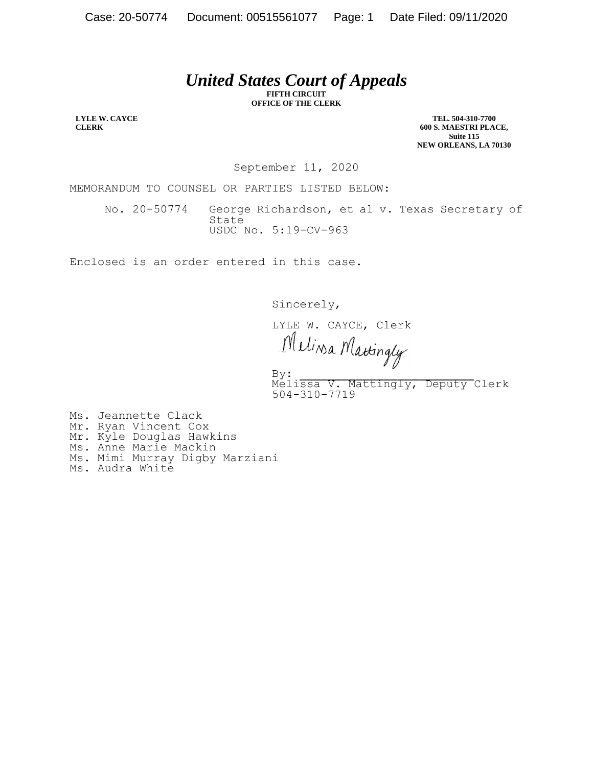## *United States Court of Appeals*

**FIFTH CIRCUIT OFFICE OF THE CLERK**

**LYLE W. CAYCE CLERK**

**TEL. 504-310-7700 600 S. MAESTRI PLACE, Suite 115 NEW ORLEANS, LA 70130**

September 11, 2020

MEMORANDUM TO COUNSEL OR PARTIES LISTED BELOW:

No. 20-50774 George Richardson, et al v. Texas Secretary of State USDC No. 5:19-CV-963

Enclosed is an order entered in this case.

Sincerely,

LYLE W. CAYCE, Clerk<br>Mulina Mattingly

 $\mathbf{By:}$ By:<br>Melissa V. Mattingly, Deputy Clerk 504-310-7719

Ms. Jeannette Clack Mr. Ryan Vincent Cox Mr. Kyle Douglas Hawkins Ms. Anne Marie Mackin Ms. Mimi Murray Digby Marziani

Ms. Audra White